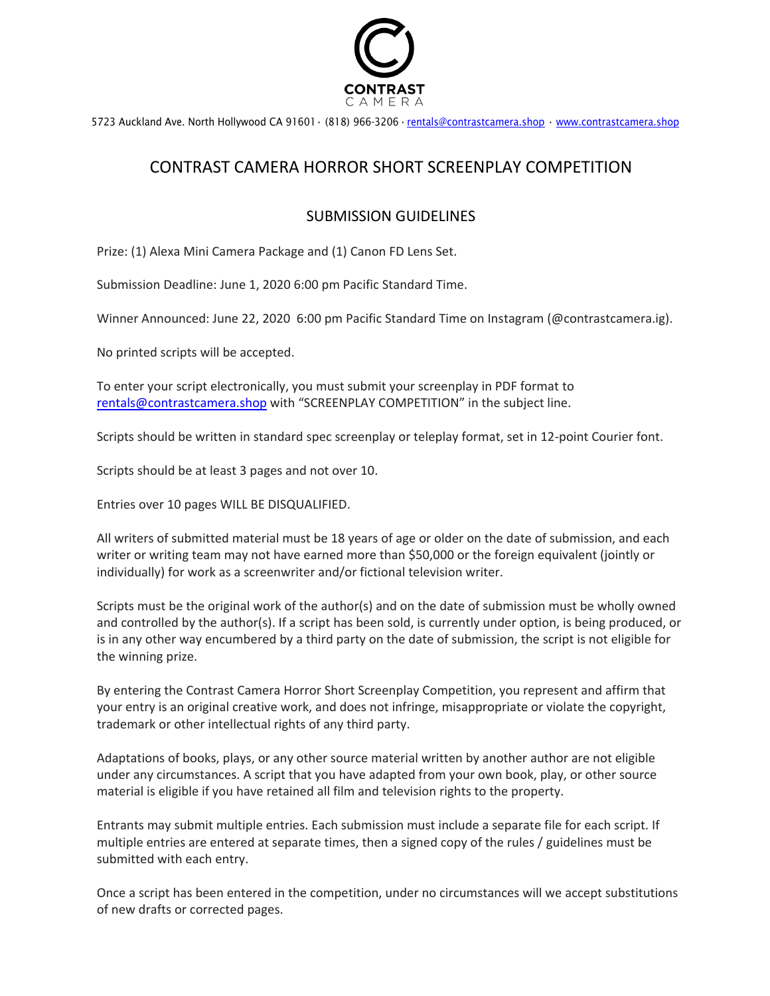

5723 Auckland Ave. North Hollywood CA 91601 · (818) 966-3206 · [rentals@contrastcamera.shop](mailto:rentals@contrastcamera.shop) · [www.contrastcamera.shop](http://www.contrastcamera.shop/)

## CONTRAST CAMERA HORROR SHORT SCREENPLAY COMPETITION

## SUBMISSION GUIDELINES

Prize: (1) Alexa Mini Camera Package and (1) Canon FD Lens Set.

Submission Deadline: June 1, 2020 6:00 pm Pacific Standard Time.

Winner Announced: June 22, 2020 6:00 pm Pacific Standard Time on Instagram (@contrastcamera.ig).

No printed scripts will be accepted.

To enter your script electronically, you must submit your screenplay in PDF format to [rentals@contrastcamera.shop](mailto:rentals@contrastcamera.shop) with "SCREENPLAY COMPETITION" in the subject line.

Scripts should be written in standard spec screenplay or teleplay format, set in 12-point Courier font.

Scripts should be at least 3 pages and not over 10.

Entries over 10 pages WILL BE DISQUALIFIED.

All writers of submitted material must be 18 years of age or older on the date of submission, and each writer or writing team may not have earned more than \$50,000 or the foreign equivalent (jointly or individually) for work as a screenwriter and/or fictional television writer.

Scripts must be the original work of the author(s) and on the date of submission must be wholly owned and controlled by the author(s). If a script has been sold, is currently under option, is being produced, or is in any other way encumbered by a third party on the date of submission, the script is not eligible for the winning prize.

By entering the Contrast Camera Horror Short Screenplay Competition, you represent and affirm that your entry is an original creative work, and does not infringe, misappropriate or violate the copyright, trademark or other intellectual rights of any third party.

Adaptations of books, plays, or any other source material written by another author are not eligible under any circumstances. A script that you have adapted from your own book, play, or other source material is eligible if you have retained all film and television rights to the property.

Entrants may submit multiple entries. Each submission must include a separate file for each script. If multiple entries are entered at separate times, then a signed copy of the rules / guidelines must be submitted with each entry.

Once a script has been entered in the competition, under no circumstances will we accept substitutions of new drafts or corrected pages.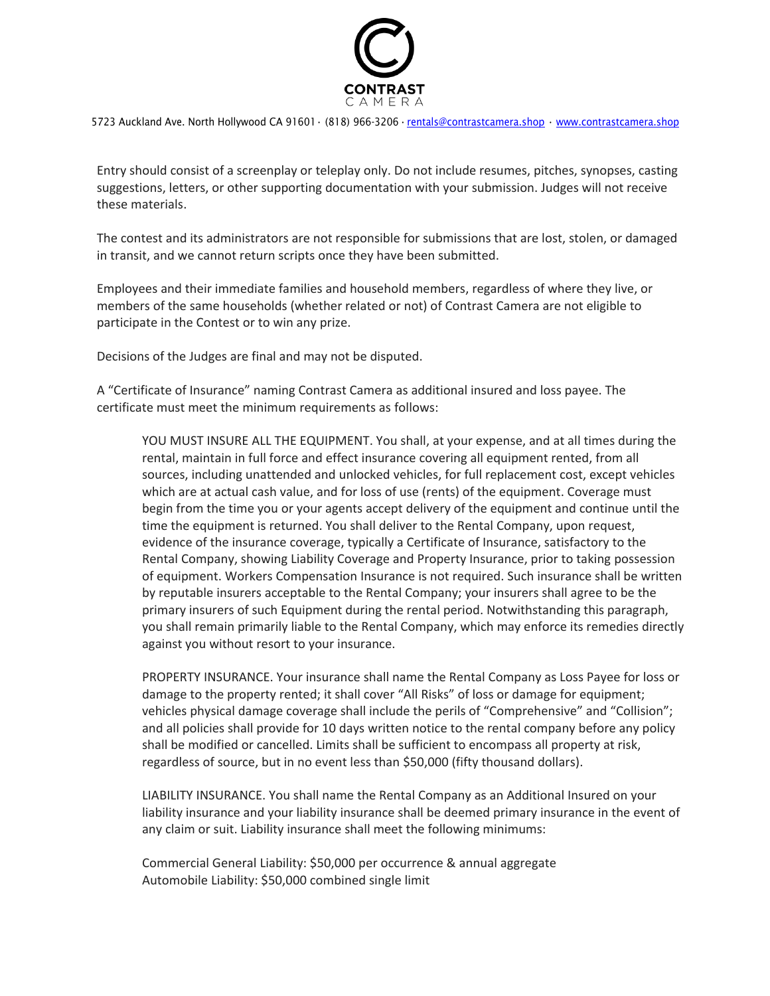

5723 Auckland Ave. North Hollywood CA 91601 · (818) 966-3206 · [rentals@contrastcamera.shop](mailto:rentals@contrastcamera.shop) · [www.contrastcamera.shop](http://www.contrastcamera.shop/)

Entry should consist of a screenplay or teleplay only. Do not include resumes, pitches, synopses, casting suggestions, letters, or other supporting documentation with your submission. Judges will not receive these materials.

The contest and its administrators are not responsible for submissions that are lost, stolen, or damaged in transit, and we cannot return scripts once they have been submitted.

Employees and their immediate families and household members, regardless of where they live, or members of the same households (whether related or not) of Contrast Camera are not eligible to participate in the Contest or to win any prize.

Decisions of the Judges are final and may not be disputed.

A "Certificate of Insurance" naming Contrast Camera as additional insured and loss payee. The certificate must meet the minimum requirements as follows:

YOU MUST INSURE ALL THE EQUIPMENT. You shall, at your expense, and at all times during the rental, maintain in full force and effect insurance covering all equipment rented, from all sources, including unattended and unlocked vehicles, for full replacement cost, except vehicles which are at actual cash value, and for loss of use (rents) of the equipment. Coverage must begin from the time you or your agents accept delivery of the equipment and continue until the time the equipment is returned. You shall deliver to the Rental Company, upon request, evidence of the insurance coverage, typically a Certificate of Insurance, satisfactory to the Rental Company, showing Liability Coverage and Property Insurance, prior to taking possession of equipment. Workers Compensation Insurance is not required. Such insurance shall be written by reputable insurers acceptable to the Rental Company; your insurers shall agree to be the primary insurers of such Equipment during the rental period. Notwithstanding this paragraph, you shall remain primarily liable to the Rental Company, which may enforce its remedies directly against you without resort to your insurance.

PROPERTY INSURANCE. Your insurance shall name the Rental Company as Loss Payee for loss or damage to the property rented; it shall cover "All Risks" of loss or damage for equipment; vehicles physical damage coverage shall include the perils of "Comprehensive" and "Collision"; and all policies shall provide for 10 days written notice to the rental company before any policy shall be modified or cancelled. Limits shall be sufficient to encompass all property at risk, regardless of source, but in no event less than \$50,000 (fifty thousand dollars).

LIABILITY INSURANCE. You shall name the Rental Company as an Additional Insured on your liability insurance and your liability insurance shall be deemed primary insurance in the event of any claim or suit. Liability insurance shall meet the following minimums:

Commercial General Liability: \$50,000 per occurrence & annual aggregate Automobile Liability: \$50,000 combined single limit